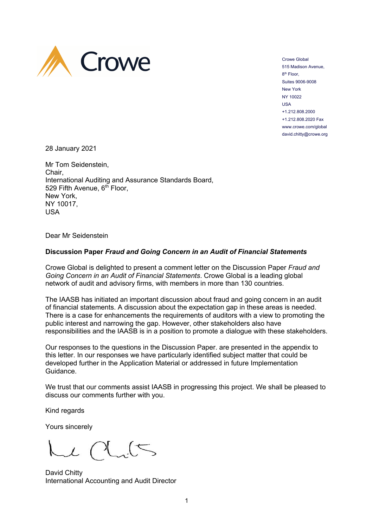

Crowe Global 515 Madison Avenue, 8<sup>th</sup> Floor. Suites 9006-9008 New York NY 10022 USA +1.212.808.2000 +1.212.808.2020 Fax www.crowe.com/global david.chitty@crowe.org

28 January 2021

Mr Tom Seidenstein, Chair, International Auditing and Assurance Standards Board, 529 Fifth Avenue, 6<sup>th</sup> Floor, New York, NY 10017, USA

Dear Mr Seidenstein

## **Discussion Paper** *Fraud and Going Concern in an Audit of Financial Statements*

Crowe Global is delighted to present a comment letter on the Discussion Paper *Fraud and Going Concern in an Audit of Financial Statements*. Crowe Global is a leading global network of audit and advisory firms, with members in more than 130 countries.

The IAASB has initiated an important discussion about fraud and going concern in an audit of financial statements. A discussion about the expectation gap in these areas is needed. There is a case for enhancements the requirements of auditors with a view to promoting the public interest and narrowing the gap. However, other stakeholders also have responsibilities and the IAASB is in a position to promote a dialogue with these stakeholders.

Our responses to the questions in the Discussion Paper. are presented in the appendix to this letter. In our responses we have particularly identified subject matter that could be developed further in the Application Material or addressed in future Implementation Guidance.

We trust that our comments assist IAASB in progressing this project. We shall be pleased to discuss our comments further with you.

Kind regards

Yours sincerely

 $\frac{1}{2}$ 

David Chitty International Accounting and Audit Director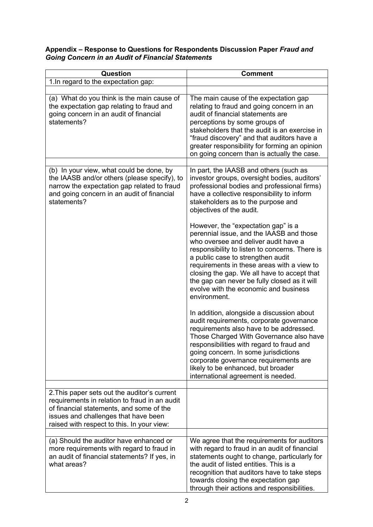## **Appendix – Response to Questions for Respondents Discussion Paper** *Fraud and Going Concern in an Audit of Financial Statements*

| Question                                                                                                                                                                                                                        | <b>Comment</b>                                                                                                                                                                                                                                                                                                                                                                                                       |
|---------------------------------------------------------------------------------------------------------------------------------------------------------------------------------------------------------------------------------|----------------------------------------------------------------------------------------------------------------------------------------------------------------------------------------------------------------------------------------------------------------------------------------------------------------------------------------------------------------------------------------------------------------------|
| 1. In regard to the expectation gap:                                                                                                                                                                                            |                                                                                                                                                                                                                                                                                                                                                                                                                      |
| (a) What do you think is the main cause of<br>the expectation gap relating to fraud and<br>going concern in an audit of financial<br>statements?                                                                                | The main cause of the expectation gap<br>relating to fraud and going concern in an<br>audit of financial statements are<br>perceptions by some groups of<br>stakeholders that the audit is an exercise in<br>"fraud discovery" and that auditors have a<br>greater responsibility for forming an opinion<br>on going concern than is actually the case.                                                              |
|                                                                                                                                                                                                                                 |                                                                                                                                                                                                                                                                                                                                                                                                                      |
| (b) In your view, what could be done, by<br>the IAASB and/or others (please specify), to<br>narrow the expectation gap related to fraud<br>and going concern in an audit of financial<br>statements?                            | In part, the IAASB and others (such as<br>investor groups, oversight bodies, auditors'<br>professional bodies and professional firms)<br>have a collective responsibility to inform<br>stakeholders as to the purpose and<br>objectives of the audit.                                                                                                                                                                |
|                                                                                                                                                                                                                                 | However, the "expectation gap" is a<br>perennial issue, and the IAASB and those<br>who oversee and deliver audit have a<br>responsibility to listen to concerns. There is<br>a public case to strengthen audit<br>requirements in these areas with a view to<br>closing the gap. We all have to accept that<br>the gap can never be fully closed as it will<br>evolve with the economic and business<br>environment. |
|                                                                                                                                                                                                                                 | In addition, alongside a discussion about<br>audit requirements, corporate governance<br>requirements also have to be addressed.<br>Those Charged With Governance also have<br>responsibilities with regard to fraud and<br>going concern. In some jurisdictions<br>corporate governance requirements are<br>likely to be enhanced, but broader<br>international agreement is needed.                                |
|                                                                                                                                                                                                                                 |                                                                                                                                                                                                                                                                                                                                                                                                                      |
| 2. This paper sets out the auditor's current<br>requirements in relation to fraud in an audit<br>of financial statements, and some of the<br>issues and challenges that have been<br>raised with respect to this. In your view: |                                                                                                                                                                                                                                                                                                                                                                                                                      |
| (a) Should the auditor have enhanced or                                                                                                                                                                                         | We agree that the requirements for auditors                                                                                                                                                                                                                                                                                                                                                                          |
| more requirements with regard to fraud in<br>an audit of financial statements? If yes, in<br>what areas?                                                                                                                        | with regard to fraud in an audit of financial<br>statements ought to change, particularly for<br>the audit of listed entities. This is a<br>recognition that auditors have to take steps<br>towards closing the expectation gap<br>through their actions and responsibilities.                                                                                                                                       |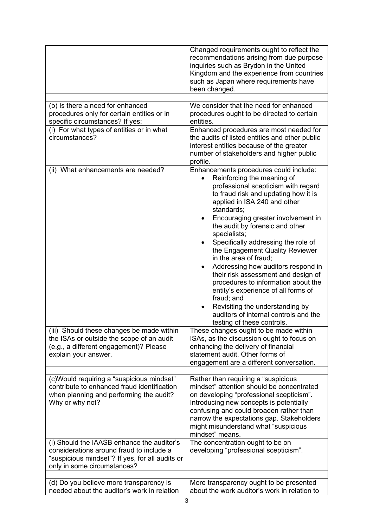|                                                                                                                                                                          | Changed requirements ought to reflect the<br>recommendations arising from due purpose<br>inquiries such as Brydon in the United<br>Kingdom and the experience from countries<br>such as Japan where requirements have<br>been changed.                                                                                                                                                                                                                                                                                                                                                                                                                                                |
|--------------------------------------------------------------------------------------------------------------------------------------------------------------------------|---------------------------------------------------------------------------------------------------------------------------------------------------------------------------------------------------------------------------------------------------------------------------------------------------------------------------------------------------------------------------------------------------------------------------------------------------------------------------------------------------------------------------------------------------------------------------------------------------------------------------------------------------------------------------------------|
|                                                                                                                                                                          |                                                                                                                                                                                                                                                                                                                                                                                                                                                                                                                                                                                                                                                                                       |
| (b) Is there a need for enhanced<br>procedures only for certain entities or in<br>specific circumstances? If yes:                                                        | We consider that the need for enhanced<br>procedures ought to be directed to certain<br>entities.                                                                                                                                                                                                                                                                                                                                                                                                                                                                                                                                                                                     |
| (i) For what types of entities or in what<br>circumstances?                                                                                                              | Enhanced procedures are most needed for<br>the audits of listed entities and other public<br>interest entities because of the greater<br>number of stakeholders and higher public<br>profile.                                                                                                                                                                                                                                                                                                                                                                                                                                                                                         |
| (ii) What enhancements are needed?                                                                                                                                       | Enhancements procedures could include:<br>Reinforcing the meaning of<br>professional scepticism with regard<br>to fraud risk and updating how it is<br>applied in ISA 240 and other<br>standards;<br>Encouraging greater involvement in<br>٠<br>the audit by forensic and other<br>specialists;<br>Specifically addressing the role of<br>the Engagement Quality Reviewer<br>in the area of fraud;<br>Addressing how auditors respond in<br>their risk assessment and design of<br>procedures to information about the<br>entity's experience of all forms of<br>fraud; and<br>Revisiting the understanding by<br>auditors of internal controls and the<br>testing of these controls. |
| (iii) Should these changes be made within<br>the ISAs or outside the scope of an audit<br>(e.g., a different engagement)? Please<br>explain your answer.                 | These changes ought to be made within<br>ISAs, as the discussion ought to focus on<br>enhancing the delivery of financial<br>statement audit. Other forms of<br>engagement are a different conversation.                                                                                                                                                                                                                                                                                                                                                                                                                                                                              |
|                                                                                                                                                                          |                                                                                                                                                                                                                                                                                                                                                                                                                                                                                                                                                                                                                                                                                       |
| (c)Would requiring a "suspicious mindset"<br>contribute to enhanced fraud identification<br>when planning and performing the audit?<br>Why or why not?                   | Rather than requiring a "suspicious<br>mindset" attention should be concentrated<br>on developing "professional scepticism".<br>Introducing new concepts is potentially<br>confusing and could broaden rather than<br>narrow the expectations gap. Stakeholders<br>might misunderstand what "suspicious<br>mindset" means.                                                                                                                                                                                                                                                                                                                                                            |
| (i) Should the IAASB enhance the auditor's<br>considerations around fraud to include a<br>"suspicious mindset"? If yes, for all audits or<br>only in some circumstances? | The concentration ought to be on<br>developing "professional scepticism".                                                                                                                                                                                                                                                                                                                                                                                                                                                                                                                                                                                                             |
|                                                                                                                                                                          |                                                                                                                                                                                                                                                                                                                                                                                                                                                                                                                                                                                                                                                                                       |
| (d) Do you believe more transparency is<br>needed about the auditor's work in relation                                                                                   | More transparency ought to be presented<br>about the work auditor's work in relation to                                                                                                                                                                                                                                                                                                                                                                                                                                                                                                                                                                                               |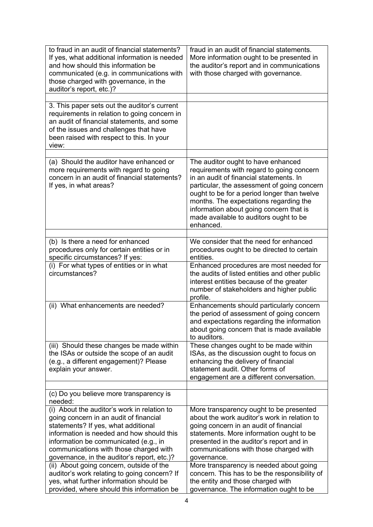| to fraud in an audit of financial statements?<br>If yes, what additional information is needed<br>and how should this information be<br>communicated (e.g. in communications with<br>those charged with governance, in the<br>auditor's report, etc.)?                                                                                                                                                  | fraud in an audit of financial statements.<br>More information ought to be presented in<br>the auditor's report and in communications<br>with those charged with governance.                                                                                                                                                                                                   |
|---------------------------------------------------------------------------------------------------------------------------------------------------------------------------------------------------------------------------------------------------------------------------------------------------------------------------------------------------------------------------------------------------------|--------------------------------------------------------------------------------------------------------------------------------------------------------------------------------------------------------------------------------------------------------------------------------------------------------------------------------------------------------------------------------|
|                                                                                                                                                                                                                                                                                                                                                                                                         |                                                                                                                                                                                                                                                                                                                                                                                |
| 3. This paper sets out the auditor's current<br>requirements in relation to going concern in<br>an audit of financial statements, and some<br>of the issues and challenges that have<br>been raised with respect to this. In your<br>view:                                                                                                                                                              |                                                                                                                                                                                                                                                                                                                                                                                |
|                                                                                                                                                                                                                                                                                                                                                                                                         |                                                                                                                                                                                                                                                                                                                                                                                |
| (a) Should the auditor have enhanced or<br>more requirements with regard to going<br>concern in an audit of financial statements?<br>If yes, in what areas?                                                                                                                                                                                                                                             | The auditor ought to have enhanced<br>requirements with regard to going concern<br>in an audit of financial statements. In<br>particular, the assessment of going concern<br>ought to be for a period longer than twelve<br>months. The expectations regarding the<br>information about going concern that is<br>made available to auditors ought to be<br>enhanced.           |
|                                                                                                                                                                                                                                                                                                                                                                                                         |                                                                                                                                                                                                                                                                                                                                                                                |
| (b) Is there a need for enhanced<br>procedures only for certain entities or in<br>specific circumstances? If yes:                                                                                                                                                                                                                                                                                       | We consider that the need for enhanced<br>procedures ought to be directed to certain<br>entities.                                                                                                                                                                                                                                                                              |
| (i) For what types of entities or in what<br>circumstances?                                                                                                                                                                                                                                                                                                                                             | Enhanced procedures are most needed for<br>the audits of listed entities and other public<br>interest entities because of the greater<br>number of stakeholders and higher public<br>profile.                                                                                                                                                                                  |
| (ii) What enhancements are needed?                                                                                                                                                                                                                                                                                                                                                                      | Enhancements should particularly concern<br>the period of assessment of going concern<br>and expectations regarding the information<br>about going concern that is made available<br>to auditors.                                                                                                                                                                              |
| (iii) Should these changes be made within<br>the ISAs or outside the scope of an audit<br>(e.g., a different engagement)? Please<br>explain your answer.                                                                                                                                                                                                                                                | These changes ought to be made within<br>ISAs, as the discussion ought to focus on<br>enhancing the delivery of financial<br>statement audit. Other forms of<br>engagement are a different conversation.                                                                                                                                                                       |
|                                                                                                                                                                                                                                                                                                                                                                                                         |                                                                                                                                                                                                                                                                                                                                                                                |
| (c) Do you believe more transparency is<br>needed:                                                                                                                                                                                                                                                                                                                                                      |                                                                                                                                                                                                                                                                                                                                                                                |
| (i) About the auditor's work in relation to<br>going concern in an audit of financial<br>statements? If yes, what additional<br>information is needed and how should this<br>information be communicated (e.g., in<br>communications with those charged with<br>governance, in the auditor's report, etc.)?<br>(ii) About going concern, outside of the<br>auditor's work relating to going concern? If | More transparency ought to be presented<br>about the work auditor's work in relation to<br>going concern in an audit of financial<br>statements. More information ought to be<br>presented in the auditor's report and in<br>communications with those charged with<br>governance.<br>More transparency is needed about going<br>concern. This has to be the responsibility of |
| yes, what further information should be<br>provided, where should this information be                                                                                                                                                                                                                                                                                                                   | the entity and those charged with<br>governance. The information ought to be                                                                                                                                                                                                                                                                                                   |